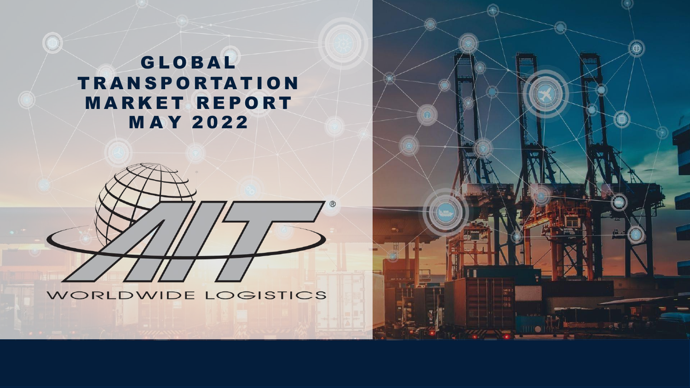### **GLOBAL TRANSPORTATION MARKET REPORT MAY 2022**



WORLDWIDE LOGISTICS

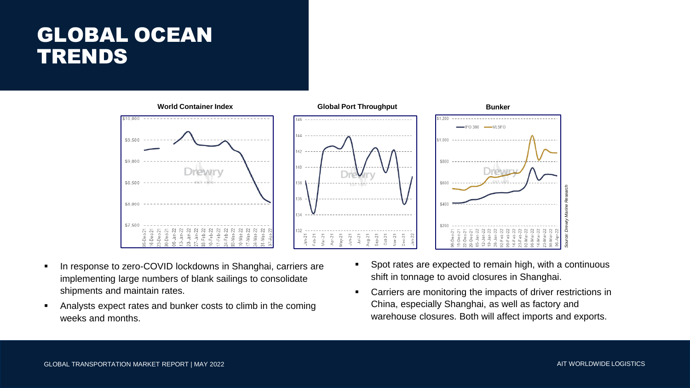## GLOBAL OCEAN TRENDS



- In response to zero-COVID lockdowns in Shanghai, carriers are implementing large numbers of blank sailings to consolidate shipments and maintain rates.
- Analysts expect rates and bunker costs to climb in the coming weeks and months.
- Spot rates are expected to remain high, with a continuous shift in tonnage to avoid closures in Shanghai.
- Carriers are monitoring the impacts of driver restrictions in China, especially Shanghai, as well as factory and warehouse closures. Both will affect imports and exports.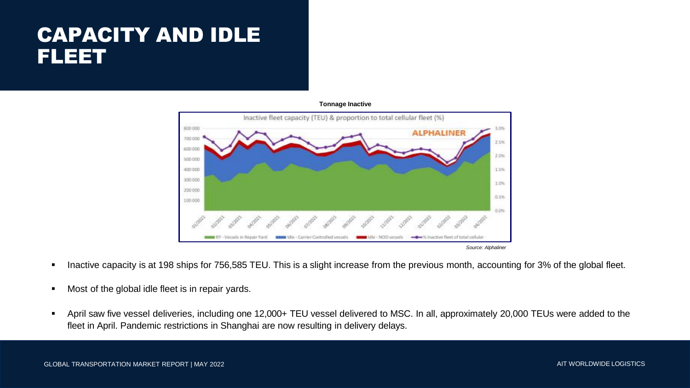### CAPACITY AND IDLE FLEET



**Tonnage Inactive**

- Inactive capacity is at 198 ships for 756,585 TEU. This is a slight increase from the previous month, accounting for 3% of the global fleet.
- Most of the global idle fleet is in repair yards.
- April saw five vessel deliveries, including one 12,000+ TEU vessel delivered to MSC. In all, approximately 20,000 TEUs were added to the fleet in April. Pandemic restrictions in Shanghai are now resulting in delivery delays.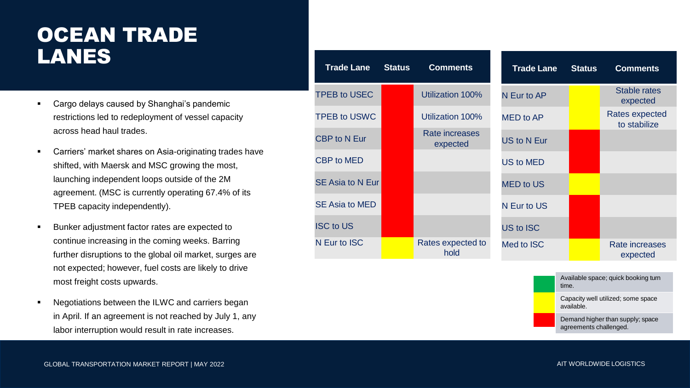## OCEAN TRADE LANES

- Cargo delays caused by Shanghai's pandemic restrictions led to redeployment of vessel capacity across head haul trades.
- Carriers' market shares on Asia-originating trades have shifted, with Maersk and MSC growing the most, launching independent loops outside of the 2M agreement. (MSC is currently operating 67.4% of its TPEB capacity independently).
- Bunker adjustment factor rates are expected to continue increasing in the coming weeks. Barring further disruptions to the global oil market, surges are not expected; however, fuel costs are likely to drive most freight costs upwards.
- Negotiations between the ILWC and carriers began in April. If an agreement is not reached by July 1, any labor interruption would result in rate increases.

| <b>Trade Lane</b>     | <b>Status</b> | <b>Comments</b>                   | <b>Trade Lane</b>  | <b>Status</b> | <b>Comments</b>                       |
|-----------------------|---------------|-----------------------------------|--------------------|---------------|---------------------------------------|
| <b>TPEB to USEC</b>   |               | Utilization 100%                  | N Eur to AP        |               | <b>Stable rates</b><br>expected       |
| <b>TPEB to USWC</b>   |               | Utilization 100%                  | <b>MED</b> to AP   |               | <b>Rates expected</b><br>to stabilize |
| <b>CBP</b> to N Eur   |               | <b>Rate increases</b><br>expected | <b>US to N Eur</b> |               |                                       |
| <b>CBP to MED</b>     |               |                                   | <b>US to MED</b>   |               |                                       |
| SE Asia to N Eur      |               |                                   | <b>MED to US</b>   |               |                                       |
| <b>SE Asia to MED</b> |               |                                   | N Eur to US        |               |                                       |
| <b>ISC to US</b>      |               |                                   | US to ISC          |               |                                       |
| N Eur to ISC          |               | Rates expected to<br>hold         | Med to ISC         |               | Rate increases<br>expected            |

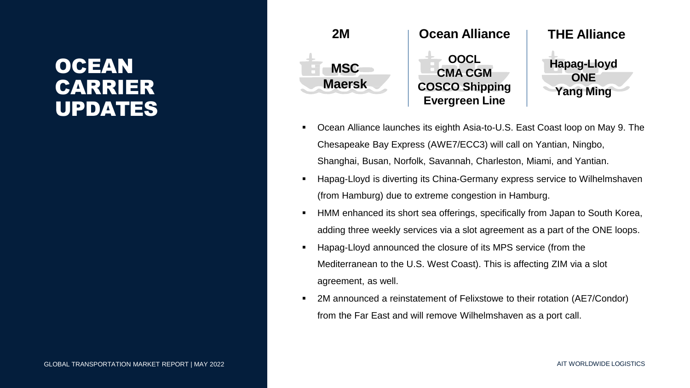## OCEAN CARRIER UPDATES



- Ocean Alliance launches its eighth Asia-to-U.S. East Coast loop on May 9. The Chesapeake Bay Express (AWE7/ECC3) will call on Yantian, Ningbo, Shanghai, Busan, Norfolk, Savannah, Charleston, Miami, and Yantian.
- Hapag-Lloyd is diverting its China-Germany express service to Wilhelmshaven (from Hamburg) due to extreme congestion in Hamburg.
- HMM enhanced its short sea offerings, specifically from Japan to South Korea, adding three weekly services via a slot agreement as a part of the ONE loops.
- Hapag-Lloyd announced the closure of its MPS service (from the Mediterranean to the U.S. West Coast). This is affecting ZIM via a slot agreement, as well.
- 2M announced a reinstatement of Felixstowe to their rotation (AE7/Condor) from the Far East and will remove Wilhelmshaven as a port call.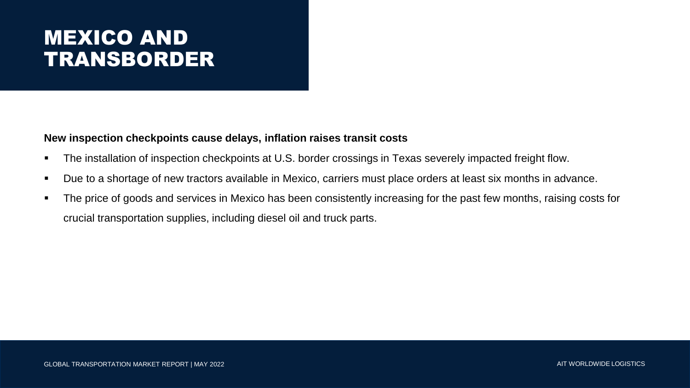# MEXICO AND TRANSBORDER

#### **New inspection checkpoints cause delays, inflation raises transit costs**

- The installation of inspection checkpoints at U.S. border crossings in Texas severely impacted freight flow.
- Due to a shortage of new tractors available in Mexico, carriers must place orders at least six months in advance.
- The price of goods and services in Mexico has been consistently increasing for the past few months, raising costs for crucial transportation supplies, including diesel oil and truck parts.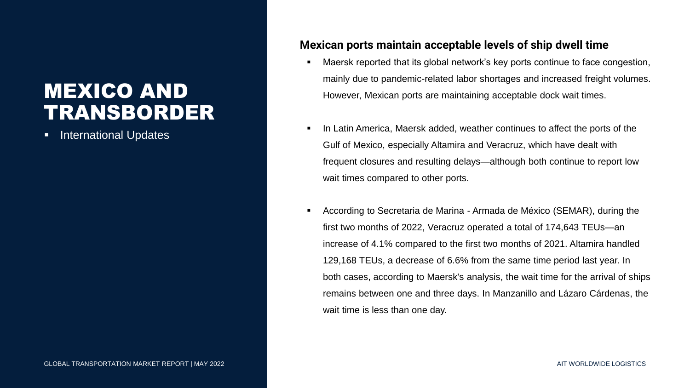# MEXICO AND TRANSBORDER

**International Updates** 

#### **Mexican ports maintain acceptable levels of ship dwell time**

- Maersk reported that its global network's key ports continue to face congestion, mainly due to pandemic-related labor shortages and increased freight volumes. However, Mexican ports are maintaining acceptable dock wait times.
- In Latin America, Maersk added, weather continues to affect the ports of the Gulf of Mexico, especially Altamira and Veracruz, which have dealt with frequent closures and resulting delays—although both continue to report low wait times compared to other ports.
- According to Secretaria de Marina Armada de México (SEMAR), during the first two months of 2022, Veracruz operated a total of 174,643 TEUs—an increase of 4.1% compared to the first two months of 2021. Altamira handled 129,168 TEUs, a decrease of 6.6% from the same time period last year. In both cases, according to Maersk's analysis, the wait time for the arrival of ships remains between one and three days. In Manzanillo and Lázaro Cárdenas, the wait time is less than one day.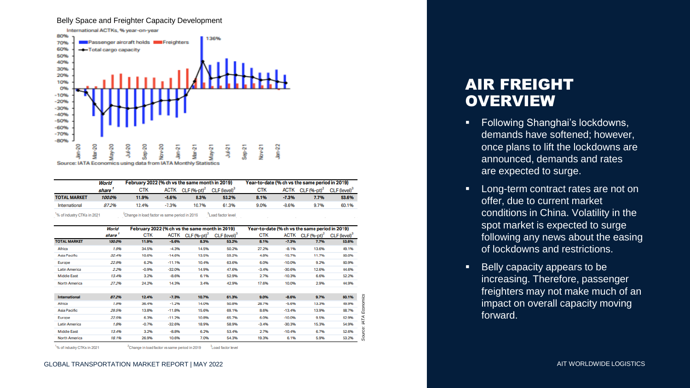#### Belly Space and Freighter Capacity Development



|                     | World  | February 2022 (% ch vs the same month in 2019) |         |                              |                          | Year-to-date (% ch vs the same period in 2019) |             |                 |                            |
|---------------------|--------|------------------------------------------------|---------|------------------------------|--------------------------|------------------------------------------------|-------------|-----------------|----------------------------|
|                     | share  | <b>CTK</b>                                     |         | ACTK CLF (%-pt) <sup>2</sup> | CLF (level) <sup>3</sup> | <b>CTK</b>                                     | <b>ACTK</b> | CLF $(96-pt)^2$ | $CLF$ (level) <sup>3</sup> |
| <b>TOTAL MARKET</b> | 100.0% | 11.9%                                          | $-5.6%$ | 8.3%                         | 53.2%                    | 8.1%                                           | $-7.3%$     | 7.7%            | 53.6%                      |
| International       | 87.2%  | 12.4%                                          | $-7.3%$ | 10.7%                        | 61.3%                    | 9.0%                                           | $-8.6%$     | 9.7%            | 60.1%                      |

<sup>1</sup>% of industry CTKs in 2021 <sup>2</sup>Change in load factor vs same period in 2019 <sup>3</sup>Load factor level

|                      | World  | February 2022 (% ch vs the same month in 2019) |             |                           | Year-to-date (% ch vs the same period in 2019) |            |             |                 |                          |
|----------------------|--------|------------------------------------------------|-------------|---------------------------|------------------------------------------------|------------|-------------|-----------------|--------------------------|
|                      | share  | CTK                                            | <b>ACTK</b> | $CLF$ (%-pt) <sup>2</sup> | CLF (level) <sup>3</sup>                       | <b>CTK</b> | <b>ACTK</b> | $CLF (96-pt)^2$ | CLF (level) <sup>3</sup> |
| <b>TOTAL MARKET</b>  | 100.0% | 11.9%                                          | $-5.6%$     | 8.3%                      | 53.2%                                          | 8.1%       | $-7.3%$     | 7.7%            | 53.6%                    |
| Africa               | 1.9%   | 34.5%                                          | $-4.3%$     | 14.5%                     | 50.2%                                          | 27.2%      | $-8.1%$     | 13.6%           | 49.1%                    |
| Asia Pacific         | 32.4%  | 10.6%                                          | $-14.6%$    | 13.5%                     | 59.2%                                          | 4.8%       | $-15.7%$    | 11.7%           | 60.0%                    |
| Europe               | 22.9%  | 6.2%                                           | $-11.196$   | 10.4%                     | 63.6%                                          | 6.0%       | $-10.0%$    | 9.2%            | 60.9%                    |
| <b>Latin America</b> | 2.2%   | $-0.9%$                                        | $-32.0%$    | 14.9%                     | 47.6%                                          | $-3.4%$    | $-30.6%$    | 12.6%           | 44.6%                    |
| <b>Middle East</b>   | 13.4%  | 3.2%                                           | $-8.6%$     | 6.1%                      | 52.9%                                          | 2.7%       | $-10.3%$    | 6.6%            | 52.2%                    |
| North America        | 27.2%  | 24.2%                                          | 14.3%       | 3.4%                      | 42.9%                                          | 17.6%      | 10.0%       | 2.9%            | 44.9%                    |
|                      |        |                                                |             |                           |                                                |            |             |                 |                          |
| International        | 87.2%  | 12.4%                                          | $-7.3%$     | 10.7%                     | 61.3%                                          | 9.0%       | $-8.6%$     | 9.7%            | 60.1%                    |
| Africa               | 1.9%   | 36.4%                                          | $-1.2%$     | 14.0%                     | 50.8%                                          | 28.7%      | $-5.6%$     | 13.3%           | 49.9%                    |
| Asia Pacific         | 29.5%  | 13.8%                                          | $-11.896$   | 15.6%                     | 69.1%                                          | 8.6%       | $-13.4%$    | 13.9%           | 68.7%                    |
| Europe               | 22.5%  | 6.3%                                           | $-11.2%$    | 10.8%                     | 65.7%                                          | 6.0%       | $-10.0%$    | 9.5%            | 62.9%                    |
| <b>Latin America</b> | 1.8%   | $-0.7%$                                        | $-32.6%$    | 18.9%                     | 58.9%                                          | $-3.4%$    | $-30.3%$    | 15.3%           | 54.9%                    |
| <b>Middle East</b>   | 13.4%  | 3.2%                                           | $-8.8%$     | 6.2%                      | 53.4%                                          | 2.7%       | $-10.4%$    | 6.7%            | 52.6%                    |
| North America        | 18.1%  | 26.9%                                          | 10.6%       | 7.0%                      | 54.3%                                          | 19.3%      | 6.1%        | 5.9%            | 53.2%                    |

<sup>1</sup>% of industry CTKs in 2021

<sup>2</sup>Change in load factor vs same period in 2019 <sup>3</sup>Load factor level

#### GLOBAL TRANSPORTATION MARKET REPORT | MAY 2022 2022 2023 AIT WORLDWIDE LOGISTICS

### AIR FREIGHT **OVERVIEW**

- Following Shanghai's lockdowns, demands have softened; however, once plans to lift the lockdowns are announced, demands and rates are expected to surge.
- Long-term contract rates are not on offer, due to current market conditions in China. Volatility in the spot market is expected to surge following any news about the easing of lockdowns and restrictions.
- Belly capacity appears to be increasing. Therefore, passenger freighters may not make much of an impact on overall capacity moving forward.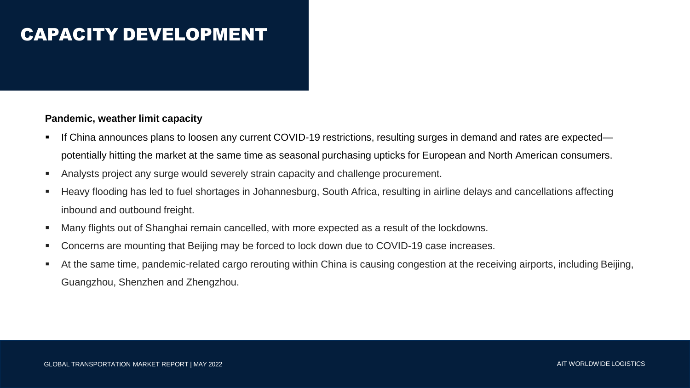#### **Pandemic, weather limit capacity**

- If China announces plans to loosen any current COVID-19 restrictions, resulting surges in demand and rates are expected potentially hitting the market at the same time as seasonal purchasing upticks for European and North American consumers.
- Analysts project any surge would severely strain capacity and challenge procurement.
- Heavy flooding has led to fuel shortages in Johannesburg, South Africa, resulting in airline delays and cancellations affecting inbound and outbound freight.
- Many flights out of Shanghai remain cancelled, with more expected as a result of the lockdowns.
- Concerns are mounting that Beijing may be forced to lock down due to COVID-19 case increases.
- At the same time, pandemic-related cargo rerouting within China is causing congestion at the receiving airports, including Beijing, Guangzhou, Shenzhen and Zhengzhou.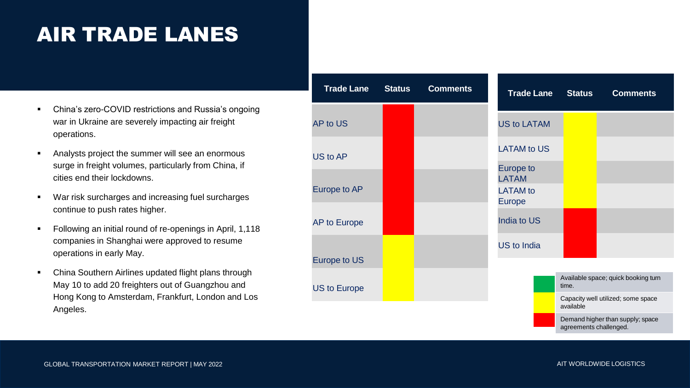# AIR TRADE LANES

- China's zero-COVID restrictions and Russia's ongoing war in Ukraine are severely impacting air freight operations.
- Analysts project the summer will see an enormous surge in freight volumes, particularly from China, if cities end their lockdowns.
- War risk surcharges and increasing fuel surcharges continue to push rates higher.
- Following an initial round of re-openings in April, 1,118 companies in Shanghai were approved to resume operations in early May.
- China Southern Airlines updated flight plans through May 10 to add 20 freighters out of Guangzhou and Hong Kong to Amsterdam, Frankfurt, London and Los Angeles.

| <b>Trade Lane</b>   | <b>Status</b> | <b>Comments</b> | <b>Trade Lane</b>                                             | <b>Status</b>          | <b>Comments</b>                     |  |
|---------------------|---------------|-----------------|---------------------------------------------------------------|------------------------|-------------------------------------|--|
| <b>AP to US</b>     |               |                 | <b>US to LATAM</b>                                            |                        |                                     |  |
| US to AP            |               |                 | <b>LATAM to US</b>                                            |                        |                                     |  |
| Europe to AP        |               |                 | Europe to<br><b>LATAM</b><br><b>LATAM</b> to<br><b>Europe</b> |                        |                                     |  |
| <b>AP to Europe</b> |               |                 | <b>India to US</b>                                            |                        |                                     |  |
| Europe to US        |               |                 | <b>US to India</b>                                            |                        |                                     |  |
| <b>US to Europe</b> |               |                 |                                                               | time.                  | Available space; quick booking turn |  |
|                     |               |                 |                                                               | available              | Capacity well utilized; some space  |  |
|                     |               |                 |                                                               | agreements challenged. | Demand higher than supply; space    |  |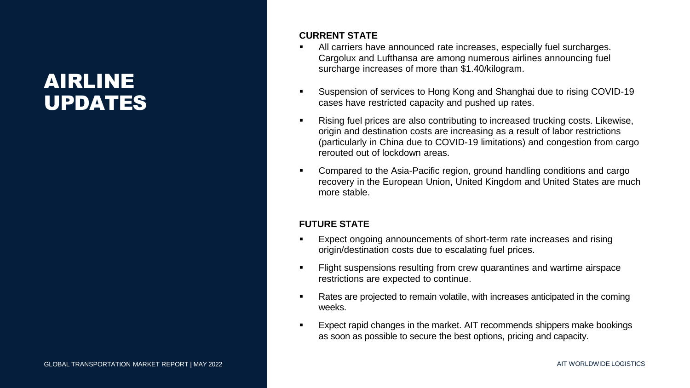## AIRLINE UPDATES

#### **CURRENT STATE**

- All carriers have announced rate increases, especially fuel surcharges. Cargolux and Lufthansa are among numerous airlines announcing fuel surcharge increases of more than \$1.40/kilogram.
- Suspension of services to Hong Kong and Shanghai due to rising COVID-19 cases have restricted capacity and pushed up rates.
- Rising fuel prices are also contributing to increased trucking costs. Likewise, origin and destination costs are increasing as a result of labor restrictions (particularly in China due to COVID-19 limitations) and congestion from cargo rerouted out of lockdown areas.
- Compared to the Asia-Pacific region, ground handling conditions and cargo recovery in the European Union, United Kingdom and United States are much more stable.

#### **FUTURE STATE**

- Expect ongoing announcements of short-term rate increases and rising origin/destination costs due to escalating fuel prices.
- **Example 1** Flight suspensions resulting from crew quarantines and wartime airspace restrictions are expected to continue.
- Rates are projected to remain volatile, with increases anticipated in the coming weeks.
- Expect rapid changes in the market. AIT recommends shippers make bookings as soon as possible to secure the best options, pricing and capacity.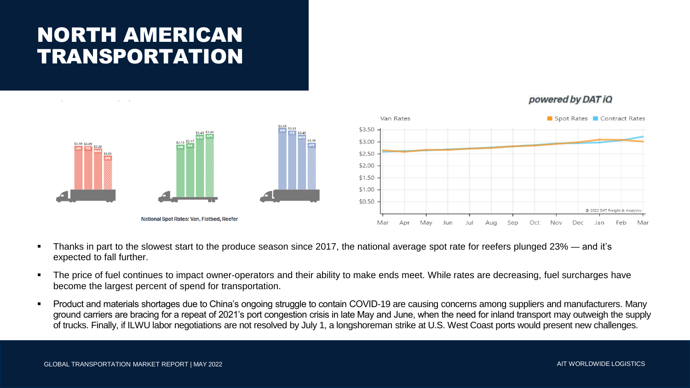# NORTH AMERICAN TRANSPORTATION





- Thanks in part to the slowest start to the produce season since 2017, the national average spot rate for reefers plunged 23% and it's expected to fall further.
- The price of fuel continues to impact owner-operators and their ability to make ends meet. While rates are decreasing, fuel surcharges have become the largest percent of spend for transportation.
- Product and materials shortages due to China's ongoing struggle to contain COVID-19 are causing concerns among suppliers and manufacturers. Many ground carriers are bracing for a repeat of 2021's port congestion crisis in late May and June, when the need for inland transport may outweigh the supply of trucks. Finally, if ILWU labor negotiations are not resolved by July 1, a longshoreman strike at U.S. West Coast ports would present new challenges.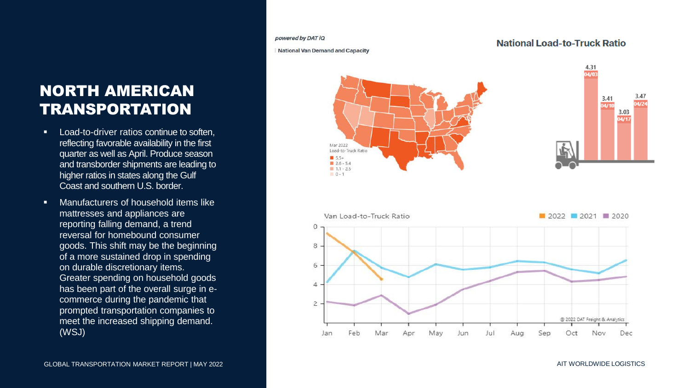#### powered by DAT iQ

**National Van Demand and Capacity** 

Mar 2022 Load-to-Truck Ratio  $15.5+$  $2.6 - 5.4$  $1.1 - 2.5$  $0 - 1$ 

#### **National Load-to-Truck Ratio**





### NORTH AMERICAN TRANSPORTATION

- Load-to-driver ratios continue to soften, reflecting favorable availability in the first quarter as well as April. Produce season and transborder shipments are leading to higher ratios in states along the Gulf Coast and southern U.S. border.
- Manufacturers of household items like mattresses and appliances are reporting falling demand, a trend reversal for homebound consumer goods. This shift may be the beginning of a more sustained drop in spending on durable discretionary items. Greater spending on household goods has been part of the overall surge in ecommerce during the pandemic that prompted transportation companies to meet the increased shipping demand. (WSJ)

GLOBAL TRANSPORTATION MARKET REPORT | MAY 2022 AIT WORLDWIDE LOGISTICS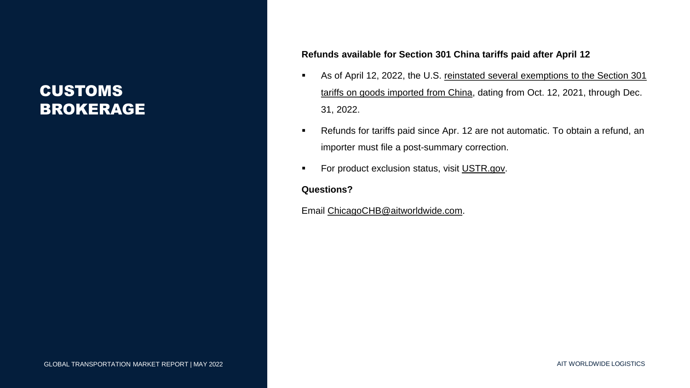### CUSTOMS BROKERAGE

#### **Refunds available for Section 301 China tariffs paid after April 12**

- **EXEL As of April 12, 2022, the U.S. reinstated several exemptions to the Section 301** [tariffs on goods imported from China, dating from Oct. 12, 2021, through Dec.](https://ustr.gov/about-us/policy-offices/press-office/press-releases/2022/march/ustr-issues-determination-reinstatement-certain-exclusions-china-section-301-tariffs)  31, 2022.
- Refunds for tariffs paid since Apr. 12 are not automatic. To obtain a refund, an importer must file a post-summary correction.
- For product exclusion status, visit [USTR.gov.](https://ustr.gov/issue-areas/enforcement/section-301-investigations/tariff-actions)

#### **Questions?**

Email [ChicagoCHB@aitworldwide.com.](mailto:ChicagoCHB@aitworldwide.com)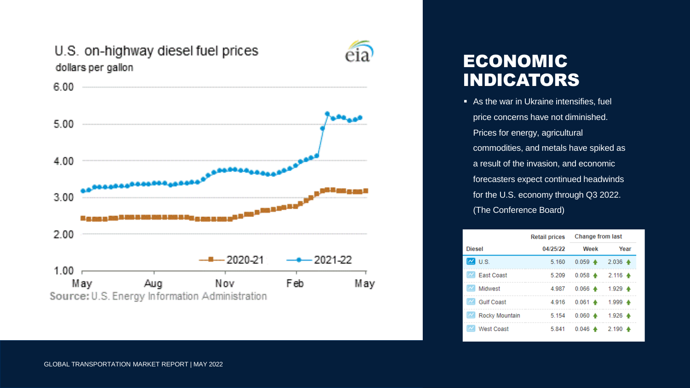

### ECONOMIC INDICATORS

■ As the war in Ukraine intensifies, fuel price concerns have not diminished. Prices for energy, agricultural commodities, and metals have spiked as a result of the invasion, and economic forecasters expect continued headwinds for the U.S. economy through Q3 2022. (The Conference Board)

|                       | <b>Retail prices</b> | Change from last                                |                     |  |
|-----------------------|----------------------|-------------------------------------------------|---------------------|--|
| <b>Diesel</b>         | 04/25/22             | Week                                            | Year                |  |
| U.S.                  | 5.160                | $0.059 +$                                       | $2.036 \triangleq$  |  |
| <b>East Coast</b>     | 5.209                | $0.058$ $\spadesuit$ 2.116 $\spadesuit$         |                     |  |
| Midwest               | 4.987                | $0.066$ $\blacktriangle$ 1.929 $\blacktriangle$ |                     |  |
| <b>Gulf Coast</b>     | 4.916                | $0.061 -$                                       | 1.999 ♠             |  |
| <b>Rocky Mountain</b> | 5.154                | $0.060 \triangleq$                              | $1.926$ $\triangle$ |  |
| West Coast            | 5.841                | $0.046 \triangleq$                              | $2.190 \triangleq$  |  |